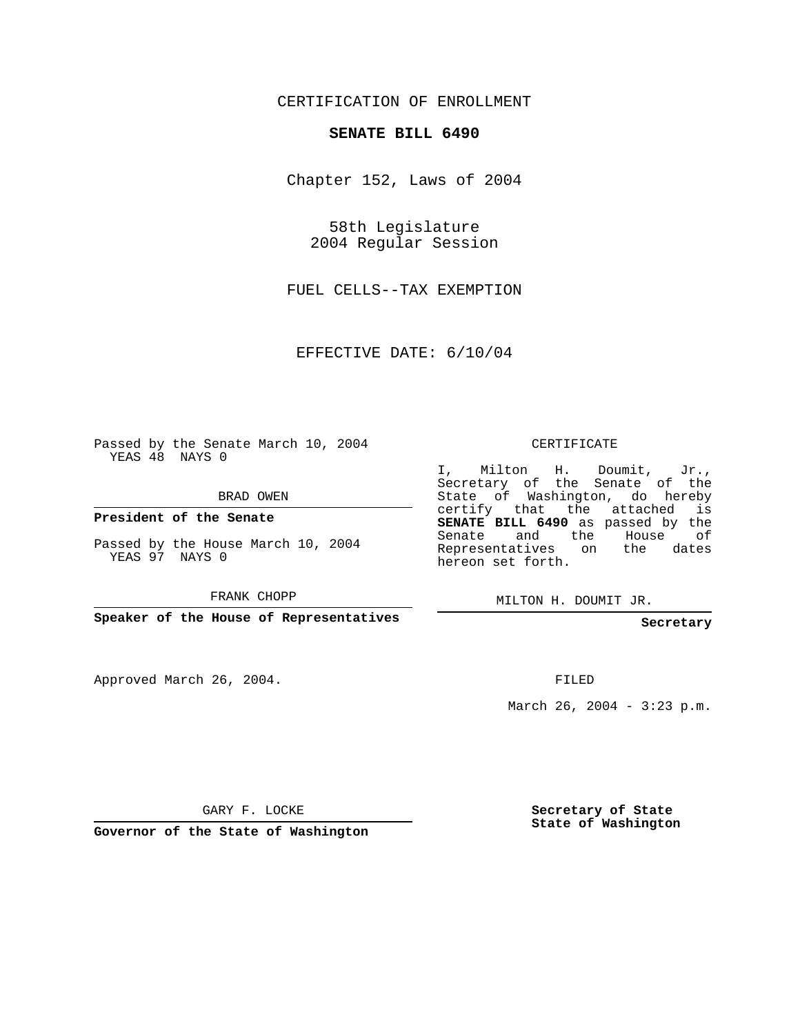## CERTIFICATION OF ENROLLMENT

## **SENATE BILL 6490**

Chapter 152, Laws of 2004

58th Legislature 2004 Regular Session

FUEL CELLS--TAX EXEMPTION

EFFECTIVE DATE: 6/10/04

Passed by the Senate March 10, 2004 YEAS 48 NAYS 0

BRAD OWEN

**President of the Senate**

Passed by the House March 10, 2004 YEAS 97 NAYS 0

FRANK CHOPP

**Speaker of the House of Representatives**

Approved March 26, 2004.

CERTIFICATE

I, Milton H. Doumit, Jr., Secretary of the Senate of the State of Washington, do hereby certify that the attached is **SENATE BILL 6490** as passed by the Senate and the House of Representatives on the dates hereon set forth.

MILTON H. DOUMIT JR.

**Secretary**

FILED

March 26, 2004 - 3:23 p.m.

GARY F. LOCKE

**Governor of the State of Washington**

**Secretary of State State of Washington**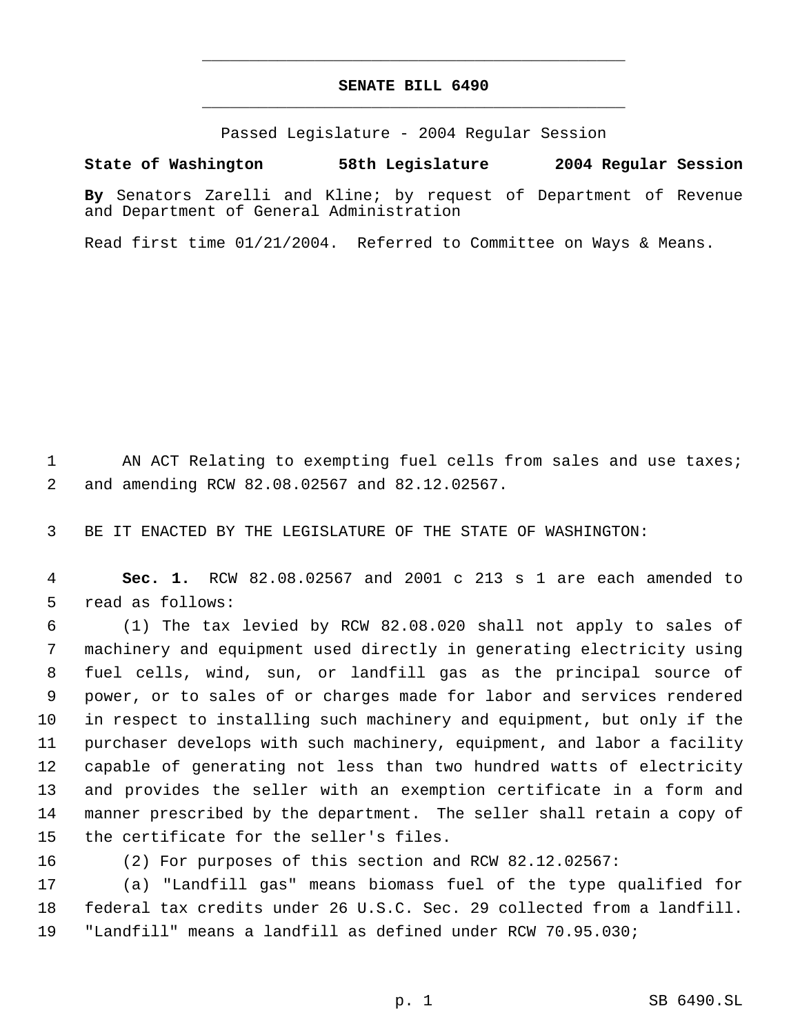## **SENATE BILL 6490** \_\_\_\_\_\_\_\_\_\_\_\_\_\_\_\_\_\_\_\_\_\_\_\_\_\_\_\_\_\_\_\_\_\_\_\_\_\_\_\_\_\_\_\_\_

\_\_\_\_\_\_\_\_\_\_\_\_\_\_\_\_\_\_\_\_\_\_\_\_\_\_\_\_\_\_\_\_\_\_\_\_\_\_\_\_\_\_\_\_\_

Passed Legislature - 2004 Regular Session

## **State of Washington 58th Legislature 2004 Regular Session**

**By** Senators Zarelli and Kline; by request of Department of Revenue and Department of General Administration

Read first time 01/21/2004. Referred to Committee on Ways & Means.

1 AN ACT Relating to exempting fuel cells from sales and use taxes; and amending RCW 82.08.02567 and 82.12.02567.

BE IT ENACTED BY THE LEGISLATURE OF THE STATE OF WASHINGTON:

 **Sec. 1.** RCW 82.08.02567 and 2001 c 213 s 1 are each amended to read as follows:

 (1) The tax levied by RCW 82.08.020 shall not apply to sales of machinery and equipment used directly in generating electricity using fuel cells, wind, sun, or landfill gas as the principal source of power, or to sales of or charges made for labor and services rendered in respect to installing such machinery and equipment, but only if the purchaser develops with such machinery, equipment, and labor a facility capable of generating not less than two hundred watts of electricity and provides the seller with an exemption certificate in a form and manner prescribed by the department. The seller shall retain a copy of the certificate for the seller's files.

(2) For purposes of this section and RCW 82.12.02567:

 (a) "Landfill gas" means biomass fuel of the type qualified for federal tax credits under 26 U.S.C. Sec. 29 collected from a landfill. "Landfill" means a landfill as defined under RCW 70.95.030;